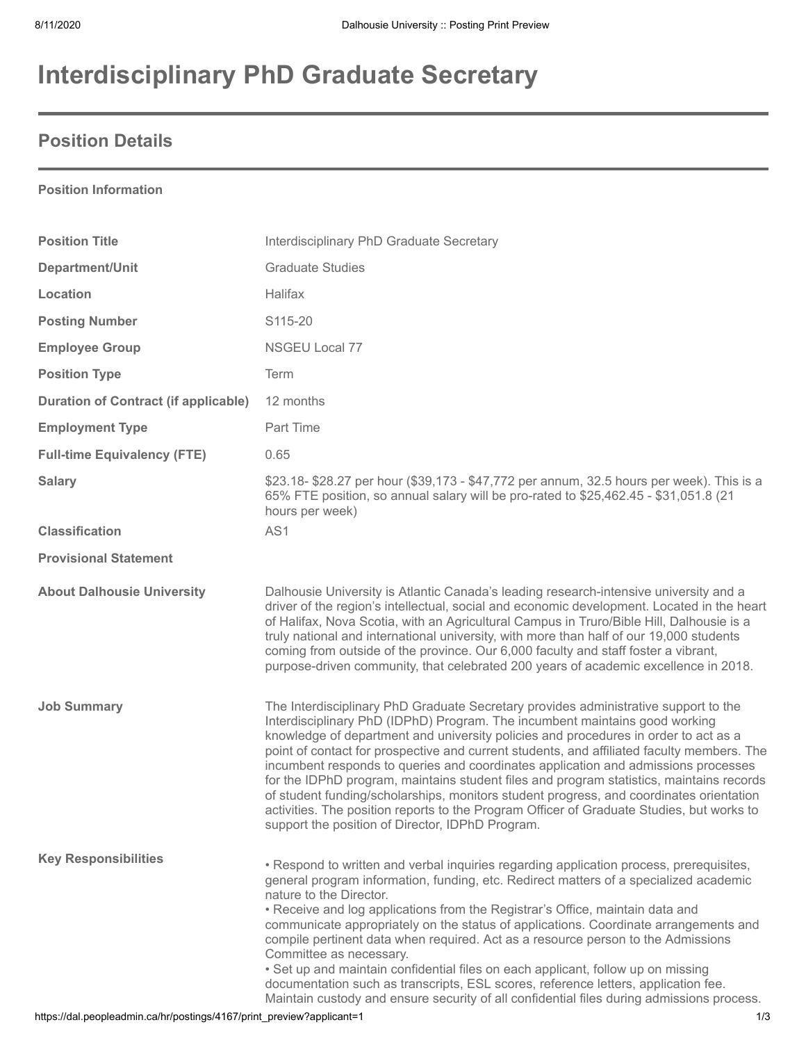# **Interdisciplinary PhD Graduate Secretary**

### **Position Details**

#### **Position Information**

| <b>Position Title</b>                                                                                | Interdisciplinary PhD Graduate Secretary                                                                                                                                                                                                                                                                                                                                                                                                                                                                                                                                                                                                                                                                                                                                              |
|------------------------------------------------------------------------------------------------------|---------------------------------------------------------------------------------------------------------------------------------------------------------------------------------------------------------------------------------------------------------------------------------------------------------------------------------------------------------------------------------------------------------------------------------------------------------------------------------------------------------------------------------------------------------------------------------------------------------------------------------------------------------------------------------------------------------------------------------------------------------------------------------------|
| Department/Unit                                                                                      | <b>Graduate Studies</b>                                                                                                                                                                                                                                                                                                                                                                                                                                                                                                                                                                                                                                                                                                                                                               |
| Location                                                                                             | Halifax                                                                                                                                                                                                                                                                                                                                                                                                                                                                                                                                                                                                                                                                                                                                                                               |
| <b>Posting Number</b>                                                                                | S115-20                                                                                                                                                                                                                                                                                                                                                                                                                                                                                                                                                                                                                                                                                                                                                                               |
| <b>Employee Group</b>                                                                                | NSGEU Local 77                                                                                                                                                                                                                                                                                                                                                                                                                                                                                                                                                                                                                                                                                                                                                                        |
| <b>Position Type</b>                                                                                 | Term                                                                                                                                                                                                                                                                                                                                                                                                                                                                                                                                                                                                                                                                                                                                                                                  |
| <b>Duration of Contract (if applicable)</b>                                                          | 12 months                                                                                                                                                                                                                                                                                                                                                                                                                                                                                                                                                                                                                                                                                                                                                                             |
| <b>Employment Type</b>                                                                               | Part Time                                                                                                                                                                                                                                                                                                                                                                                                                                                                                                                                                                                                                                                                                                                                                                             |
| <b>Full-time Equivalency (FTE)</b>                                                                   | 0.65                                                                                                                                                                                                                                                                                                                                                                                                                                                                                                                                                                                                                                                                                                                                                                                  |
| <b>Salary</b>                                                                                        | \$23.18- \$28.27 per hour (\$39,173 - \$47,772 per annum, 32.5 hours per week). This is a<br>65% FTE position, so annual salary will be pro-rated to \$25,462.45 - \$31,051.8 (21<br>hours per week)                                                                                                                                                                                                                                                                                                                                                                                                                                                                                                                                                                                  |
| <b>Classification</b>                                                                                | AS1                                                                                                                                                                                                                                                                                                                                                                                                                                                                                                                                                                                                                                                                                                                                                                                   |
| <b>Provisional Statement</b>                                                                         |                                                                                                                                                                                                                                                                                                                                                                                                                                                                                                                                                                                                                                                                                                                                                                                       |
| <b>About Dalhousie University</b>                                                                    | Dalhousie University is Atlantic Canada's leading research-intensive university and a<br>driver of the region's intellectual, social and economic development. Located in the heart<br>of Halifax, Nova Scotia, with an Agricultural Campus in Truro/Bible Hill, Dalhousie is a<br>truly national and international university, with more than half of our 19,000 students<br>coming from outside of the province. Our 6,000 faculty and staff foster a vibrant,<br>purpose-driven community, that celebrated 200 years of academic excellence in 2018.                                                                                                                                                                                                                               |
| <b>Job Summary</b>                                                                                   | The Interdisciplinary PhD Graduate Secretary provides administrative support to the<br>Interdisciplinary PhD (IDPhD) Program. The incumbent maintains good working<br>knowledge of department and university policies and procedures in order to act as a<br>point of contact for prospective and current students, and affiliated faculty members. The<br>incumbent responds to queries and coordinates application and admissions processes<br>for the IDPhD program, maintains student files and program statistics, maintains records<br>of student funding/scholarships, monitors student progress, and coordinates orientation<br>activities. The position reports to the Program Officer of Graduate Studies, but works to<br>support the position of Director, IDPhD Program. |
| <b>Key Responsibilities</b><br>https://dal.peopleadmin.ca/hr/postings/4167/print_preview?applicant=1 | • Respond to written and verbal inquiries regarding application process, prerequisites,<br>general program information, funding, etc. Redirect matters of a specialized academic<br>nature to the Director.<br>• Receive and log applications from the Registrar's Office, maintain data and<br>communicate appropriately on the status of applications. Coordinate arrangements and<br>compile pertinent data when required. Act as a resource person to the Admissions<br>Committee as necessary.<br>• Set up and maintain confidential files on each applicant, follow up on missing<br>documentation such as transcripts, ESL scores, reference letters, application fee.<br>Maintain custody and ensure security of all confidential files during admissions process.<br>1/3     |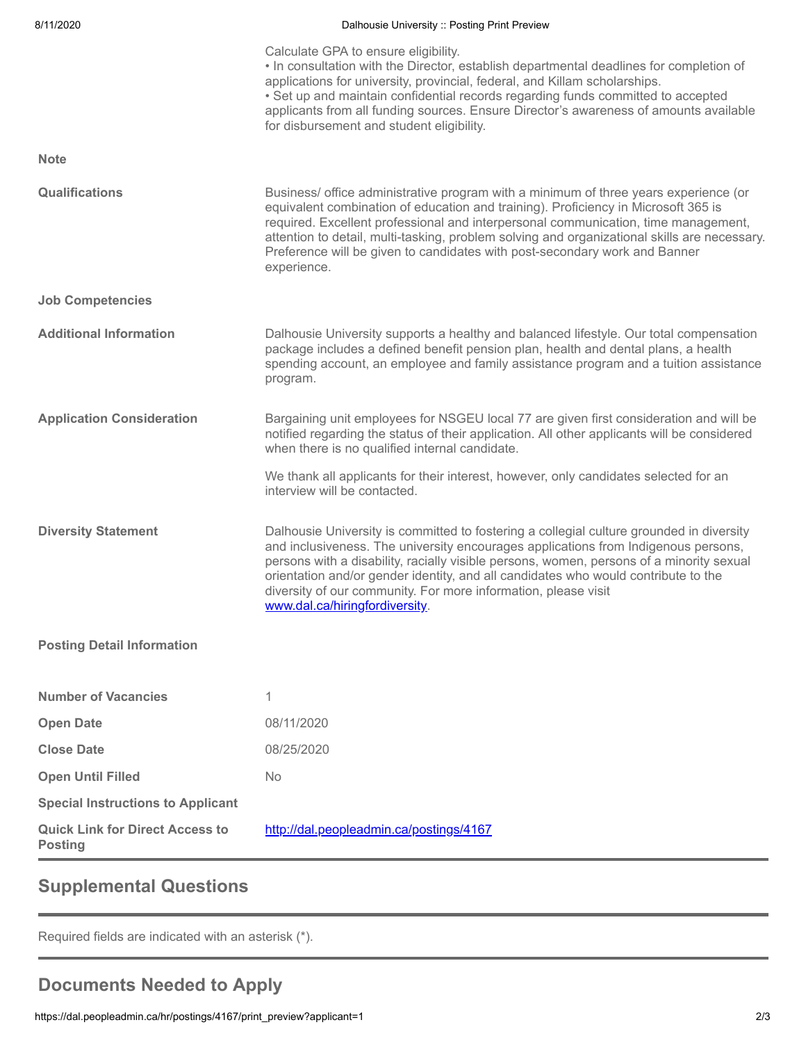| 8/11/2020                                                | Dalhousie University :: Posting Print Preview                                                                                                                                                                                                                                                                                                                                                                                                                        |
|----------------------------------------------------------|----------------------------------------------------------------------------------------------------------------------------------------------------------------------------------------------------------------------------------------------------------------------------------------------------------------------------------------------------------------------------------------------------------------------------------------------------------------------|
|                                                          | Calculate GPA to ensure eligibility.<br>. In consultation with the Director, establish departmental deadlines for completion of<br>applications for university, provincial, federal, and Killam scholarships.<br>• Set up and maintain confidential records regarding funds committed to accepted<br>applicants from all funding sources. Ensure Director's awareness of amounts available<br>for disbursement and student eligibility.                              |
| <b>Note</b>                                              |                                                                                                                                                                                                                                                                                                                                                                                                                                                                      |
| Qualifications                                           | Business/ office administrative program with a minimum of three years experience (or<br>equivalent combination of education and training). Proficiency in Microsoft 365 is<br>required. Excellent professional and interpersonal communication, time management,<br>attention to detail, multi-tasking, problem solving and organizational skills are necessary.<br>Preference will be given to candidates with post-secondary work and Banner<br>experience.        |
| <b>Job Competencies</b>                                  |                                                                                                                                                                                                                                                                                                                                                                                                                                                                      |
| <b>Additional Information</b>                            | Dalhousie University supports a healthy and balanced lifestyle. Our total compensation<br>package includes a defined benefit pension plan, health and dental plans, a health<br>spending account, an employee and family assistance program and a tuition assistance<br>program.                                                                                                                                                                                     |
| <b>Application Consideration</b>                         | Bargaining unit employees for NSGEU local 77 are given first consideration and will be<br>notified regarding the status of their application. All other applicants will be considered<br>when there is no qualified internal candidate.                                                                                                                                                                                                                              |
|                                                          | We thank all applicants for their interest, however, only candidates selected for an<br>interview will be contacted.                                                                                                                                                                                                                                                                                                                                                 |
| <b>Diversity Statement</b>                               | Dalhousie University is committed to fostering a collegial culture grounded in diversity<br>and inclusiveness. The university encourages applications from Indigenous persons,<br>persons with a disability, racially visible persons, women, persons of a minority sexual<br>orientation and/or gender identity, and all candidates who would contribute to the<br>diversity of our community. For more information, please visit<br>www.dal.ca/hiringfordiversity. |
| <b>Posting Detail Information</b>                        |                                                                                                                                                                                                                                                                                                                                                                                                                                                                      |
| <b>Number of Vacancies</b>                               | 1                                                                                                                                                                                                                                                                                                                                                                                                                                                                    |
| <b>Open Date</b>                                         | 08/11/2020                                                                                                                                                                                                                                                                                                                                                                                                                                                           |
| <b>Close Date</b>                                        | 08/25/2020                                                                                                                                                                                                                                                                                                                                                                                                                                                           |
| <b>Open Until Filled</b>                                 | No                                                                                                                                                                                                                                                                                                                                                                                                                                                                   |
| <b>Special Instructions to Applicant</b>                 |                                                                                                                                                                                                                                                                                                                                                                                                                                                                      |
| <b>Quick Link for Direct Access to</b><br><b>Posting</b> | http://dal.peopleadmin.ca/postings/4167                                                                                                                                                                                                                                                                                                                                                                                                                              |

### **Supplemental Questions**

Required fields are indicated with an asterisk (\*).

## **Documents Needed to Apply**